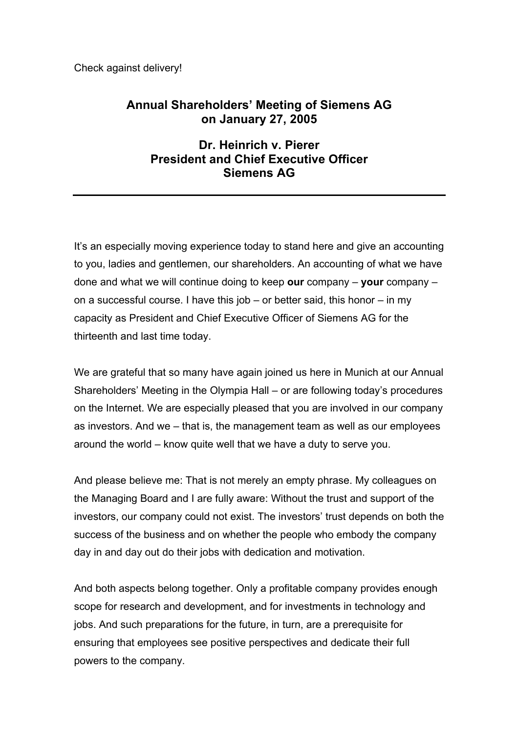Check against delivery!

# **Annual Shareholders' Meeting of Siemens AG on January 27, 2005**

# **Dr. Heinrich v. Pierer President and Chief Executive Officer Siemens AG**

It's an especially moving experience today to stand here and give an accounting to you, ladies and gentlemen, our shareholders. An accounting of what we have done and what we will continue doing to keep **our** company – **your** company – on a successful course. I have this job – or better said, this honor – in my capacity as President and Chief Executive Officer of Siemens AG for the thirteenth and last time today.

We are grateful that so many have again joined us here in Munich at our Annual Shareholders' Meeting in the Olympia Hall – or are following today's procedures on the Internet. We are especially pleased that you are involved in our company as investors. And we – that is, the management team as well as our employees around the world – know quite well that we have a duty to serve you.

And please believe me: That is not merely an empty phrase. My colleagues on the Managing Board and I are fully aware: Without the trust and support of the investors, our company could not exist. The investors' trust depends on both the success of the business and on whether the people who embody the company day in and day out do their jobs with dedication and motivation.

And both aspects belong together. Only a profitable company provides enough scope for research and development, and for investments in technology and jobs. And such preparations for the future, in turn, are a prerequisite for ensuring that employees see positive perspectives and dedicate their full powers to the company.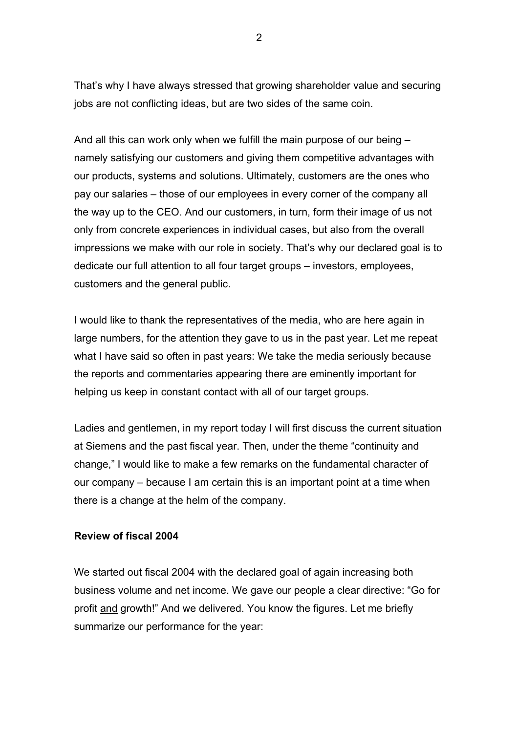That's why I have always stressed that growing shareholder value and securing jobs are not conflicting ideas, but are two sides of the same coin.

And all this can work only when we fulfill the main purpose of our being – namely satisfying our customers and giving them competitive advantages with our products, systems and solutions. Ultimately, customers are the ones who pay our salaries – those of our employees in every corner of the company all the way up to the CEO. And our customers, in turn, form their image of us not only from concrete experiences in individual cases, but also from the overall impressions we make with our role in society. That's why our declared goal is to dedicate our full attention to all four target groups – investors, employees, customers and the general public.

I would like to thank the representatives of the media, who are here again in large numbers, for the attention they gave to us in the past year. Let me repeat what I have said so often in past years: We take the media seriously because the reports and commentaries appearing there are eminently important for helping us keep in constant contact with all of our target groups.

Ladies and gentlemen, in my report today I will first discuss the current situation at Siemens and the past fiscal year. Then, under the theme "continuity and change," I would like to make a few remarks on the fundamental character of our company – because I am certain this is an important point at a time when there is a change at the helm of the company.

#### **Review of fiscal 2004**

We started out fiscal 2004 with the declared goal of again increasing both business volume and net income. We gave our people a clear directive: "Go for profit and growth!" And we delivered. You know the figures. Let me briefly summarize our performance for the year:

 $\mathcal{P}$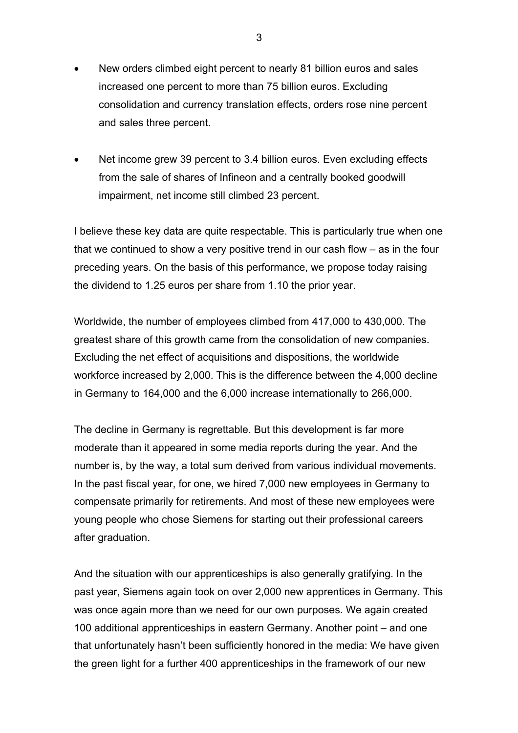- New orders climbed eight percent to nearly 81 billion euros and sales increased one percent to more than 75 billion euros. Excluding consolidation and currency translation effects, orders rose nine percent and sales three percent.
- Net income grew 39 percent to 3.4 billion euros. Even excluding effects from the sale of shares of Infineon and a centrally booked goodwill impairment, net income still climbed 23 percent.

I believe these key data are quite respectable. This is particularly true when one that we continued to show a very positive trend in our cash flow – as in the four preceding years. On the basis of this performance, we propose today raising the dividend to 1.25 euros per share from 1.10 the prior year.

Worldwide, the number of employees climbed from 417,000 to 430,000. The greatest share of this growth came from the consolidation of new companies. Excluding the net effect of acquisitions and dispositions, the worldwide workforce increased by 2,000. This is the difference between the 4,000 decline in Germany to 164,000 and the 6,000 increase internationally to 266,000.

The decline in Germany is regrettable. But this development is far more moderate than it appeared in some media reports during the year. And the number is, by the way, a total sum derived from various individual movements. In the past fiscal year, for one, we hired 7,000 new employees in Germany to compensate primarily for retirements. And most of these new employees were young people who chose Siemens for starting out their professional careers after graduation.

And the situation with our apprenticeships is also generally gratifying. In the past year, Siemens again took on over 2,000 new apprentices in Germany. This was once again more than we need for our own purposes. We again created 100 additional apprenticeships in eastern Germany. Another point – and one that unfortunately hasn't been sufficiently honored in the media: We have given the green light for a further 400 apprenticeships in the framework of our new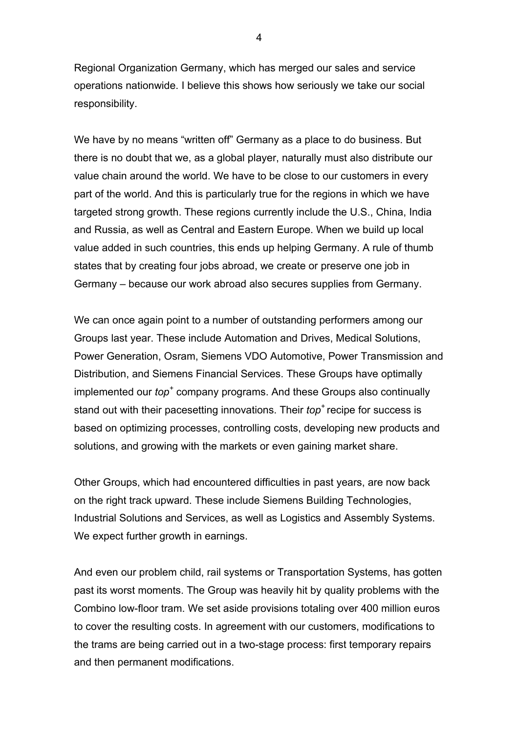Regional Organization Germany, which has merged our sales and service operations nationwide. I believe this shows how seriously we take our social responsibility.

We have by no means "written off" Germany as a place to do business. But there is no doubt that we, as a global player, naturally must also distribute our value chain around the world. We have to be close to our customers in every part of the world. And this is particularly true for the regions in which we have targeted strong growth. These regions currently include the U.S., China, India and Russia, as well as Central and Eastern Europe. When we build up local value added in such countries, this ends up helping Germany. A rule of thumb states that by creating four jobs abroad, we create or preserve one job in Germany – because our work abroad also secures supplies from Germany.

We can once again point to a number of outstanding performers among our Groups last year. These include Automation and Drives, Medical Solutions, Power Generation, Osram, Siemens VDO Automotive, Power Transmission and Distribution, and Siemens Financial Services. These Groups have optimally implemented our *top*<sup>+</sup> company programs. And these Groups also continually stand out with their pacesetting innovations. Their *top*<sup>+</sup> recipe for success is based on optimizing processes, controlling costs, developing new products and solutions, and growing with the markets or even gaining market share.

Other Groups, which had encountered difficulties in past years, are now back on the right track upward. These include Siemens Building Technologies, Industrial Solutions and Services, as well as Logistics and Assembly Systems. We expect further growth in earnings.

And even our problem child, rail systems or Transportation Systems, has gotten past its worst moments. The Group was heavily hit by quality problems with the Combino low-floor tram. We set aside provisions totaling over 400 million euros to cover the resulting costs. In agreement with our customers, modifications to the trams are being carried out in a two-stage process: first temporary repairs and then permanent modifications.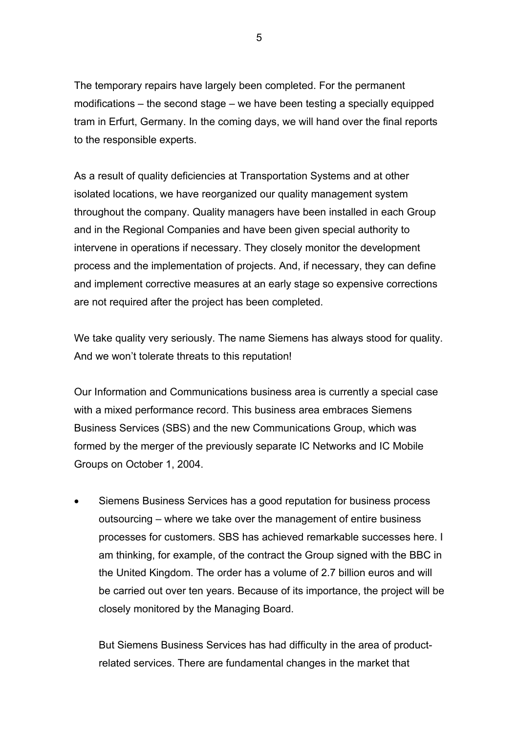The temporary repairs have largely been completed. For the permanent modifications – the second stage – we have been testing a specially equipped tram in Erfurt, Germany. In the coming days, we will hand over the final reports to the responsible experts.

As a result of quality deficiencies at Transportation Systems and at other isolated locations, we have reorganized our quality management system throughout the company. Quality managers have been installed in each Group and in the Regional Companies and have been given special authority to intervene in operations if necessary. They closely monitor the development process and the implementation of projects. And, if necessary, they can define and implement corrective measures at an early stage so expensive corrections are not required after the project has been completed.

We take quality very seriously. The name Siemens has always stood for quality. And we won't tolerate threats to this reputation!

Our Information and Communications business area is currently a special case with a mixed performance record. This business area embraces Siemens Business Services (SBS) and the new Communications Group, which was formed by the merger of the previously separate IC Networks and IC Mobile Groups on October 1, 2004.

• Siemens Business Services has a good reputation for business process outsourcing – where we take over the management of entire business processes for customers. SBS has achieved remarkable successes here. I am thinking, for example, of the contract the Group signed with the BBC in the United Kingdom. The order has a volume of 2.7 billion euros and will be carried out over ten years. Because of its importance, the project will be closely monitored by the Managing Board.

But Siemens Business Services has had difficulty in the area of productrelated services. There are fundamental changes in the market that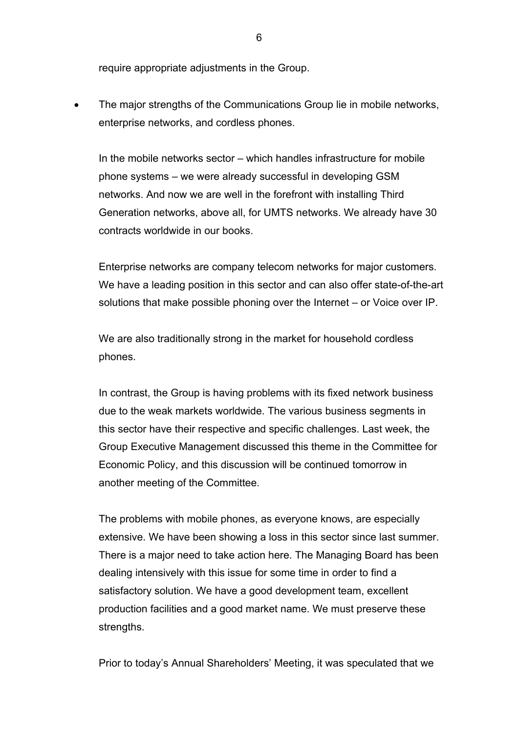require appropriate adjustments in the Group.

The major strengths of the Communications Group lie in mobile networks, enterprise networks, and cordless phones.

In the mobile networks sector – which handles infrastructure for mobile phone systems – we were already successful in developing GSM networks. And now we are well in the forefront with installing Third Generation networks, above all, for UMTS networks. We already have 30 contracts worldwide in our books.

Enterprise networks are company telecom networks for major customers. We have a leading position in this sector and can also offer state-of-the-art solutions that make possible phoning over the Internet – or Voice over IP.

We are also traditionally strong in the market for household cordless phones.

In contrast, the Group is having problems with its fixed network business due to the weak markets worldwide. The various business segments in this sector have their respective and specific challenges. Last week, the Group Executive Management discussed this theme in the Committee for Economic Policy, and this discussion will be continued tomorrow in another meeting of the Committee.

The problems with mobile phones, as everyone knows, are especially extensive. We have been showing a loss in this sector since last summer. There is a major need to take action here. The Managing Board has been dealing intensively with this issue for some time in order to find a satisfactory solution. We have a good development team, excellent production facilities and a good market name. We must preserve these strengths.

Prior to today's Annual Shareholders' Meeting, it was speculated that we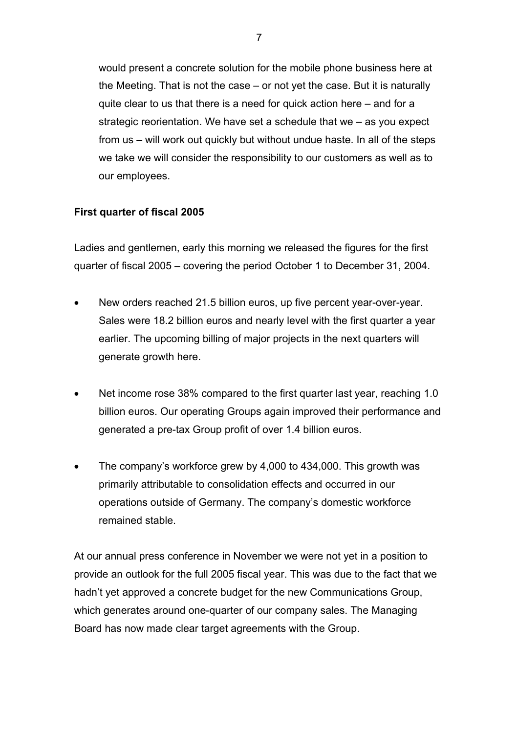would present a concrete solution for the mobile phone business here at the Meeting. That is not the case – or not yet the case. But it is naturally quite clear to us that there is a need for quick action here – and for a strategic reorientation. We have set a schedule that we – as you expect from us – will work out quickly but without undue haste. In all of the steps we take we will consider the responsibility to our customers as well as to our employees.

## **First quarter of fiscal 2005**

Ladies and gentlemen, early this morning we released the figures for the first quarter of fiscal 2005 – covering the period October 1 to December 31, 2004.

- New orders reached 21.5 billion euros, up five percent year-over-year. Sales were 18.2 billion euros and nearly level with the first quarter a year earlier. The upcoming billing of major projects in the next quarters will generate growth here.
- Net income rose 38% compared to the first quarter last year, reaching 1.0 billion euros. Our operating Groups again improved their performance and generated a pre-tax Group profit of over 1.4 billion euros.
- The company's workforce grew by 4,000 to 434,000. This growth was primarily attributable to consolidation effects and occurred in our operations outside of Germany. The company's domestic workforce remained stable.

At our annual press conference in November we were not yet in a position to provide an outlook for the full 2005 fiscal year. This was due to the fact that we hadn't yet approved a concrete budget for the new Communications Group, which generates around one-quarter of our company sales. The Managing Board has now made clear target agreements with the Group.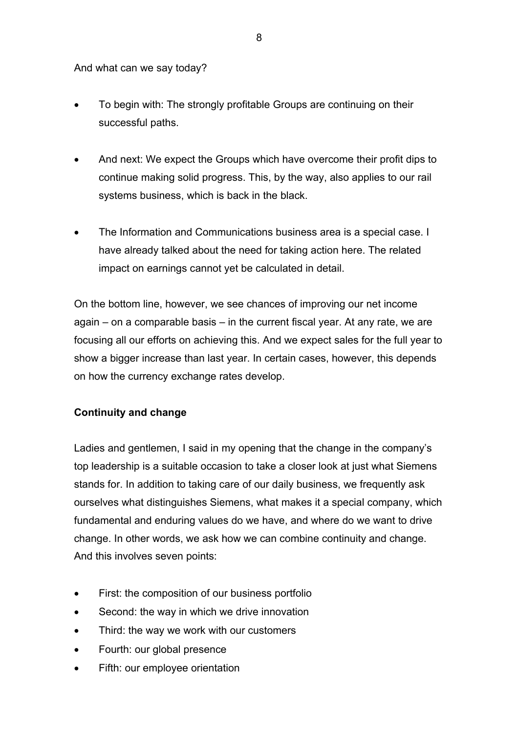And what can we say today?

- To begin with: The strongly profitable Groups are continuing on their successful paths.
- And next: We expect the Groups which have overcome their profit dips to continue making solid progress. This, by the way, also applies to our rail systems business, which is back in the black.
- The Information and Communications business area is a special case. I have already talked about the need for taking action here. The related impact on earnings cannot yet be calculated in detail.

On the bottom line, however, we see chances of improving our net income again – on a comparable basis – in the current fiscal year. At any rate, we are focusing all our efforts on achieving this. And we expect sales for the full year to show a bigger increase than last year. In certain cases, however, this depends on how the currency exchange rates develop.

## **Continuity and change**

Ladies and gentlemen, I said in my opening that the change in the company's top leadership is a suitable occasion to take a closer look at just what Siemens stands for. In addition to taking care of our daily business, we frequently ask ourselves what distinguishes Siemens, what makes it a special company, which fundamental and enduring values do we have, and where do we want to drive change. In other words, we ask how we can combine continuity and change. And this involves seven points:

- First: the composition of our business portfolio
- Second: the way in which we drive innovation
- Third: the way we work with our customers
- Fourth: our global presence
- Fifth: our employee orientation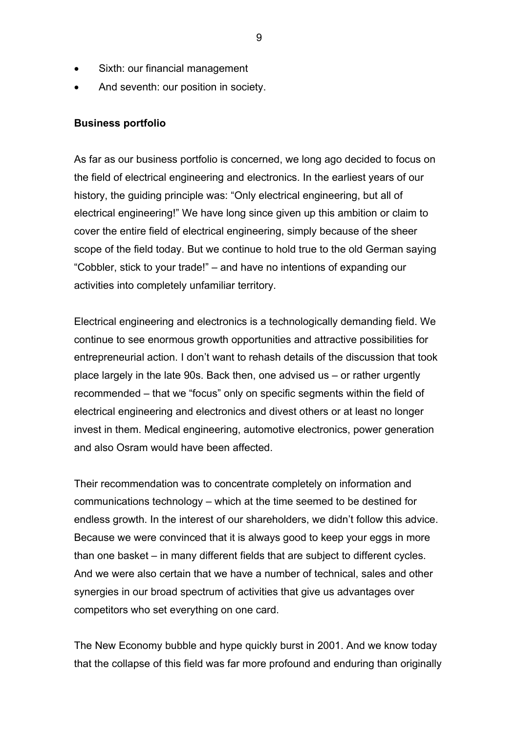- Sixth: our financial management
- And seventh: our position in society.

#### **Business portfolio**

As far as our business portfolio is concerned, we long ago decided to focus on the field of electrical engineering and electronics. In the earliest years of our history, the guiding principle was: "Only electrical engineering, but all of electrical engineering!" We have long since given up this ambition or claim to cover the entire field of electrical engineering, simply because of the sheer scope of the field today. But we continue to hold true to the old German saying "Cobbler, stick to your trade!" – and have no intentions of expanding our activities into completely unfamiliar territory.

Electrical engineering and electronics is a technologically demanding field. We continue to see enormous growth opportunities and attractive possibilities for entrepreneurial action. I don't want to rehash details of the discussion that took place largely in the late 90s. Back then, one advised us – or rather urgently recommended – that we "focus" only on specific segments within the field of electrical engineering and electronics and divest others or at least no longer invest in them. Medical engineering, automotive electronics, power generation and also Osram would have been affected.

Their recommendation was to concentrate completely on information and communications technology – which at the time seemed to be destined for endless growth. In the interest of our shareholders, we didn't follow this advice. Because we were convinced that it is always good to keep your eggs in more than one basket – in many different fields that are subject to different cycles. And we were also certain that we have a number of technical, sales and other synergies in our broad spectrum of activities that give us advantages over competitors who set everything on one card.

The New Economy bubble and hype quickly burst in 2001. And we know today that the collapse of this field was far more profound and enduring than originally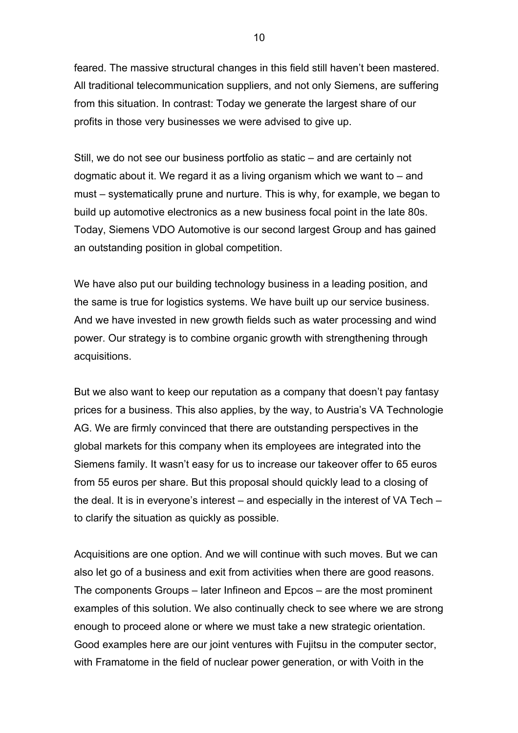feared. The massive structural changes in this field still haven't been mastered. All traditional telecommunication suppliers, and not only Siemens, are suffering from this situation. In contrast: Today we generate the largest share of our profits in those very businesses we were advised to give up.

Still, we do not see our business portfolio as static – and are certainly not dogmatic about it. We regard it as a living organism which we want to – and must – systematically prune and nurture. This is why, for example, we began to build up automotive electronics as a new business focal point in the late 80s. Today, Siemens VDO Automotive is our second largest Group and has gained an outstanding position in global competition.

We have also put our building technology business in a leading position, and the same is true for logistics systems. We have built up our service business. And we have invested in new growth fields such as water processing and wind power. Our strategy is to combine organic growth with strengthening through acquisitions.

But we also want to keep our reputation as a company that doesn't pay fantasy prices for a business. This also applies, by the way, to Austria's VA Technologie AG. We are firmly convinced that there are outstanding perspectives in the global markets for this company when its employees are integrated into the Siemens family. It wasn't easy for us to increase our takeover offer to 65 euros from 55 euros per share. But this proposal should quickly lead to a closing of the deal. It is in everyone's interest – and especially in the interest of VA Tech – to clarify the situation as quickly as possible.

Acquisitions are one option. And we will continue with such moves. But we can also let go of a business and exit from activities when there are good reasons. The components Groups – later Infineon and Epcos – are the most prominent examples of this solution. We also continually check to see where we are strong enough to proceed alone or where we must take a new strategic orientation. Good examples here are our joint ventures with Fujitsu in the computer sector, with Framatome in the field of nuclear power generation, or with Voith in the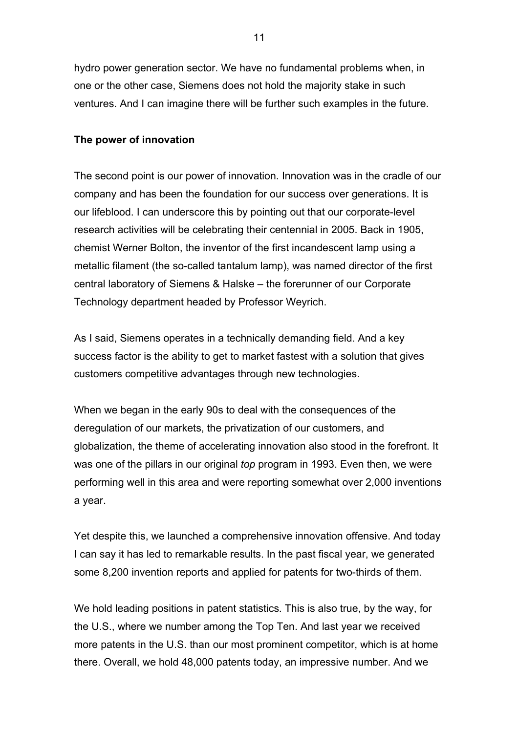hydro power generation sector. We have no fundamental problems when, in one or the other case, Siemens does not hold the majority stake in such ventures. And I can imagine there will be further such examples in the future.

### **The power of innovation**

The second point is our power of innovation. Innovation was in the cradle of our company and has been the foundation for our success over generations. It is our lifeblood. I can underscore this by pointing out that our corporate-level research activities will be celebrating their centennial in 2005. Back in 1905, chemist Werner Bolton, the inventor of the first incandescent lamp using a metallic filament (the so-called tantalum lamp), was named director of the first central laboratory of Siemens & Halske – the forerunner of our Corporate Technology department headed by Professor Weyrich.

As I said, Siemens operates in a technically demanding field. And a key success factor is the ability to get to market fastest with a solution that gives customers competitive advantages through new technologies.

When we began in the early 90s to deal with the consequences of the deregulation of our markets, the privatization of our customers, and globalization, the theme of accelerating innovation also stood in the forefront. It was one of the pillars in our original *top* program in 1993. Even then, we were performing well in this area and were reporting somewhat over 2,000 inventions a year.

Yet despite this, we launched a comprehensive innovation offensive. And today I can say it has led to remarkable results. In the past fiscal year, we generated some 8,200 invention reports and applied for patents for two-thirds of them.

We hold leading positions in patent statistics. This is also true, by the way, for the U.S., where we number among the Top Ten. And last year we received more patents in the U.S. than our most prominent competitor, which is at home there. Overall, we hold 48,000 patents today, an impressive number. And we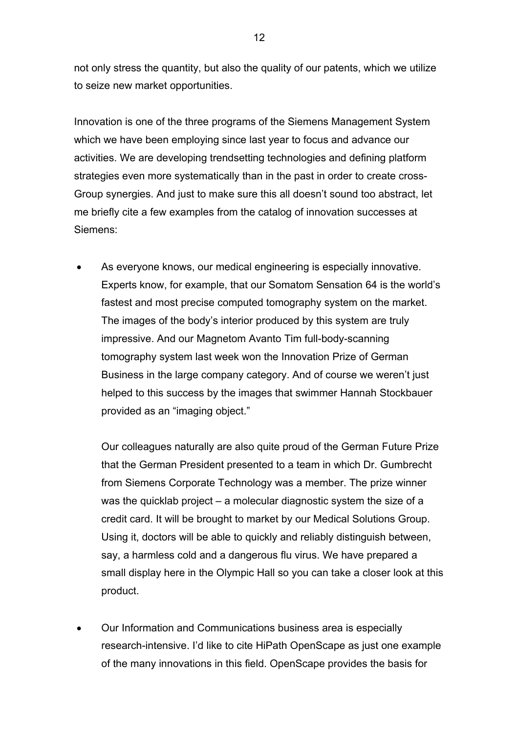not only stress the quantity, but also the quality of our patents, which we utilize to seize new market opportunities.

Innovation is one of the three programs of the Siemens Management System which we have been employing since last year to focus and advance our activities. We are developing trendsetting technologies and defining platform strategies even more systematically than in the past in order to create cross-Group synergies. And just to make sure this all doesn't sound too abstract, let me briefly cite a few examples from the catalog of innovation successes at Siemens:

As everyone knows, our medical engineering is especially innovative. Experts know, for example, that our Somatom Sensation 64 is the world's fastest and most precise computed tomography system on the market. The images of the body's interior produced by this system are truly impressive. And our Magnetom Avanto Tim full-body-scanning tomography system last week won the Innovation Prize of German Business in the large company category. And of course we weren't just helped to this success by the images that swimmer Hannah Stockbauer provided as an "imaging object."

Our colleagues naturally are also quite proud of the German Future Prize that the German President presented to a team in which Dr. Gumbrecht from Siemens Corporate Technology was a member. The prize winner was the quicklab project – a molecular diagnostic system the size of a credit card. It will be brought to market by our Medical Solutions Group. Using it, doctors will be able to quickly and reliably distinguish between, say, a harmless cold and a dangerous flu virus. We have prepared a small display here in the Olympic Hall so you can take a closer look at this product.

• Our Information and Communications business area is especially research-intensive. I'd like to cite HiPath OpenScape as just one example of the many innovations in this field. OpenScape provides the basis for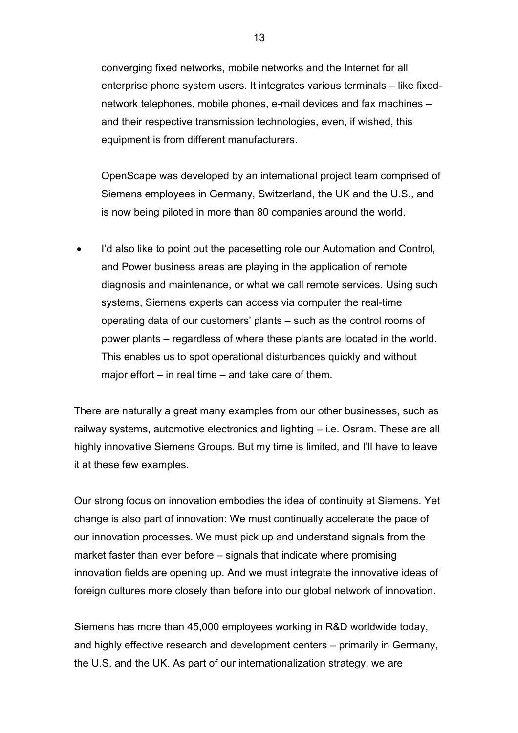converging fixed networks, mobile networks and the Internet for all enterprise phone system users. It integrates various terminals – like fixednetwork telephones, mobile phones, e-mail devices and fax machines – and their respective transmission technologies, even, if wished, this equipment is from different manufacturers.

OpenScape was developed by an international project team comprised of Siemens employees in Germany, Switzerland, the UK and the U.S., and is now being piloted in more than 80 companies around the world.

I'd also like to point out the pacesetting role our Automation and Control, and Power business areas are playing in the application of remote diagnosis and maintenance, or what we call remote services. Using such systems, Siemens experts can access via computer the real-time operating data of our customers' plants – such as the control rooms of power plants – regardless of where these plants are located in the world. This enables us to spot operational disturbances quickly and without major effort – in real time – and take care of them.

There are naturally a great many examples from our other businesses, such as railway systems, automotive electronics and lighting – i.e. Osram. These are all highly innovative Siemens Groups. But my time is limited, and I'll have to leave it at these few examples.

Our strong focus on innovation embodies the idea of continuity at Siemens. Yet change is also part of innovation: We must continually accelerate the pace of our innovation processes. We must pick up and understand signals from the market faster than ever before – signals that indicate where promising innovation fields are opening up. And we must integrate the innovative ideas of foreign cultures more closely than before into our global network of innovation.

Siemens has more than 45,000 employees working in R&D worldwide today, and highly effective research and development centers – primarily in Germany, the U.S. and the UK. As part of our internationalization strategy, we are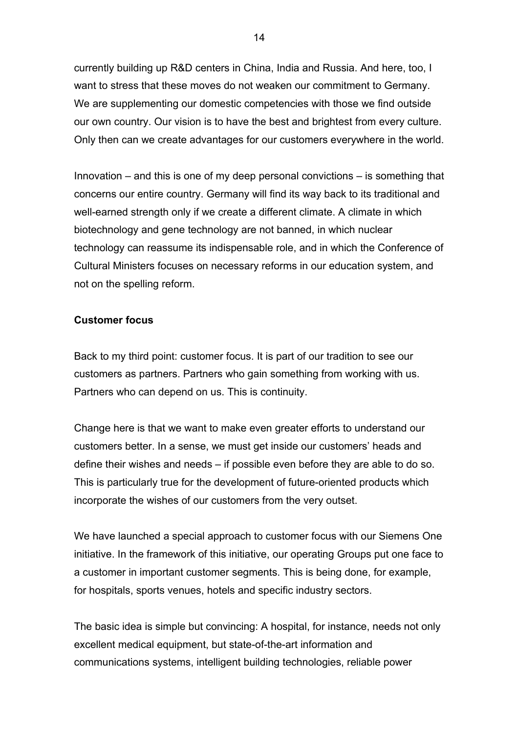currently building up R&D centers in China, India and Russia. And here, too, I want to stress that these moves do not weaken our commitment to Germany. We are supplementing our domestic competencies with those we find outside our own country. Our vision is to have the best and brightest from every culture. Only then can we create advantages for our customers everywhere in the world.

Innovation – and this is one of my deep personal convictions – is something that concerns our entire country. Germany will find its way back to its traditional and well-earned strength only if we create a different climate. A climate in which biotechnology and gene technology are not banned, in which nuclear technology can reassume its indispensable role, and in which the Conference of Cultural Ministers focuses on necessary reforms in our education system, and not on the spelling reform.

#### **Customer focus**

Back to my third point: customer focus. It is part of our tradition to see our customers as partners. Partners who gain something from working with us. Partners who can depend on us. This is continuity.

Change here is that we want to make even greater efforts to understand our customers better. In a sense, we must get inside our customers' heads and define their wishes and needs – if possible even before they are able to do so. This is particularly true for the development of future-oriented products which incorporate the wishes of our customers from the very outset.

We have launched a special approach to customer focus with our Siemens One initiative. In the framework of this initiative, our operating Groups put one face to a customer in important customer segments. This is being done, for example, for hospitals, sports venues, hotels and specific industry sectors.

The basic idea is simple but convincing: A hospital, for instance, needs not only excellent medical equipment, but state-of-the-art information and communications systems, intelligent building technologies, reliable power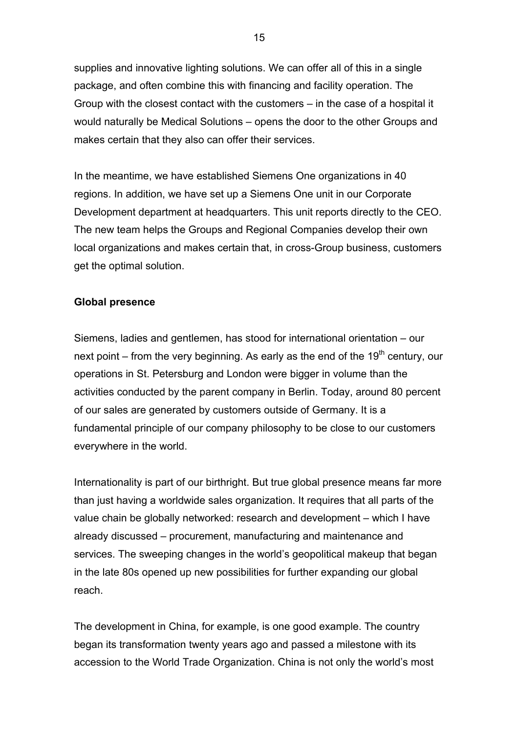supplies and innovative lighting solutions. We can offer all of this in a single package, and often combine this with financing and facility operation. The Group with the closest contact with the customers – in the case of a hospital it would naturally be Medical Solutions – opens the door to the other Groups and makes certain that they also can offer their services.

In the meantime, we have established Siemens One organizations in 40 regions. In addition, we have set up a Siemens One unit in our Corporate Development department at headquarters. This unit reports directly to the CEO. The new team helps the Groups and Regional Companies develop their own local organizations and makes certain that, in cross-Group business, customers get the optimal solution.

#### **Global presence**

Siemens, ladies and gentlemen, has stood for international orientation – our next point – from the very beginning. As early as the end of the 19<sup>th</sup> century, our operations in St. Petersburg and London were bigger in volume than the activities conducted by the parent company in Berlin. Today, around 80 percent of our sales are generated by customers outside of Germany. It is a fundamental principle of our company philosophy to be close to our customers everywhere in the world.

Internationality is part of our birthright. But true global presence means far more than just having a worldwide sales organization. It requires that all parts of the value chain be globally networked: research and development – which I have already discussed – procurement, manufacturing and maintenance and services. The sweeping changes in the world's geopolitical makeup that began in the late 80s opened up new possibilities for further expanding our global reach.

The development in China, for example, is one good example. The country began its transformation twenty years ago and passed a milestone with its accession to the World Trade Organization. China is not only the world's most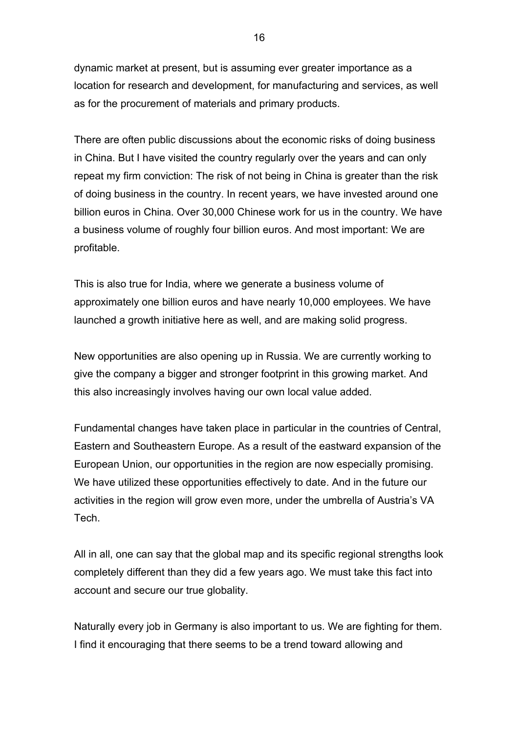dynamic market at present, but is assuming ever greater importance as a location for research and development, for manufacturing and services, as well as for the procurement of materials and primary products.

There are often public discussions about the economic risks of doing business in China. But I have visited the country regularly over the years and can only repeat my firm conviction: The risk of not being in China is greater than the risk of doing business in the country. In recent years, we have invested around one billion euros in China. Over 30,000 Chinese work for us in the country. We have a business volume of roughly four billion euros. And most important: We are profitable.

This is also true for India, where we generate a business volume of approximately one billion euros and have nearly 10,000 employees. We have launched a growth initiative here as well, and are making solid progress.

New opportunities are also opening up in Russia. We are currently working to give the company a bigger and stronger footprint in this growing market. And this also increasingly involves having our own local value added.

Fundamental changes have taken place in particular in the countries of Central, Eastern and Southeastern Europe. As a result of the eastward expansion of the European Union, our opportunities in the region are now especially promising. We have utilized these opportunities effectively to date. And in the future our activities in the region will grow even more, under the umbrella of Austria's VA Tech.

All in all, one can say that the global map and its specific regional strengths look completely different than they did a few years ago. We must take this fact into account and secure our true globality.

Naturally every job in Germany is also important to us. We are fighting for them. I find it encouraging that there seems to be a trend toward allowing and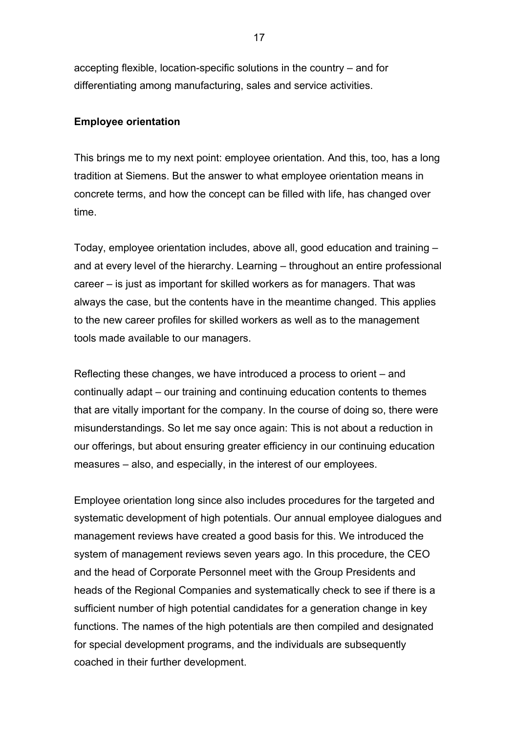accepting flexible, location-specific solutions in the country – and for differentiating among manufacturing, sales and service activities.

### **Employee orientation**

This brings me to my next point: employee orientation. And this, too, has a long tradition at Siemens. But the answer to what employee orientation means in concrete terms, and how the concept can be filled with life, has changed over time.

Today, employee orientation includes, above all, good education and training – and at every level of the hierarchy. Learning – throughout an entire professional career – is just as important for skilled workers as for managers. That was always the case, but the contents have in the meantime changed. This applies to the new career profiles for skilled workers as well as to the management tools made available to our managers.

Reflecting these changes, we have introduced a process to orient – and continually adapt – our training and continuing education contents to themes that are vitally important for the company. In the course of doing so, there were misunderstandings. So let me say once again: This is not about a reduction in our offerings, but about ensuring greater efficiency in our continuing education measures – also, and especially, in the interest of our employees.

Employee orientation long since also includes procedures for the targeted and systematic development of high potentials. Our annual employee dialogues and management reviews have created a good basis for this. We introduced the system of management reviews seven years ago. In this procedure, the CEO and the head of Corporate Personnel meet with the Group Presidents and heads of the Regional Companies and systematically check to see if there is a sufficient number of high potential candidates for a generation change in key functions. The names of the high potentials are then compiled and designated for special development programs, and the individuals are subsequently coached in their further development.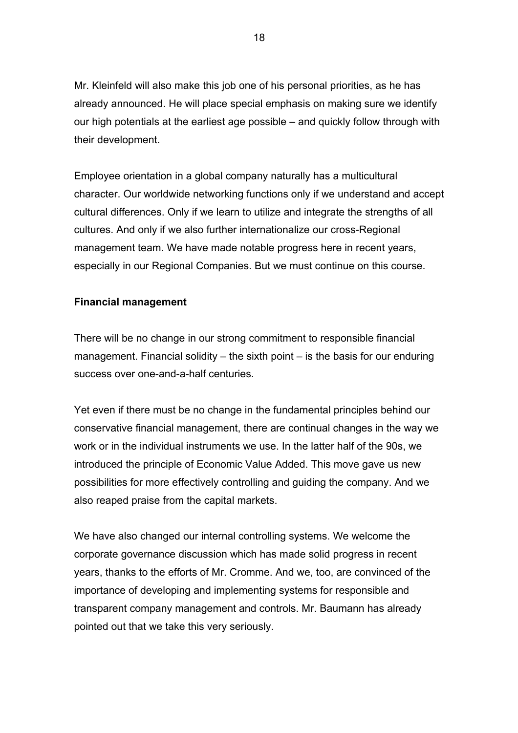Mr. Kleinfeld will also make this job one of his personal priorities, as he has already announced. He will place special emphasis on making sure we identify our high potentials at the earliest age possible – and quickly follow through with their development.

Employee orientation in a global company naturally has a multicultural character. Our worldwide networking functions only if we understand and accept cultural differences. Only if we learn to utilize and integrate the strengths of all cultures. And only if we also further internationalize our cross-Regional management team. We have made notable progress here in recent years, especially in our Regional Companies. But we must continue on this course.

### **Financial management**

There will be no change in our strong commitment to responsible financial management. Financial solidity – the sixth point – is the basis for our enduring success over one-and-a-half centuries.

Yet even if there must be no change in the fundamental principles behind our conservative financial management, there are continual changes in the way we work or in the individual instruments we use. In the latter half of the 90s, we introduced the principle of Economic Value Added. This move gave us new possibilities for more effectively controlling and guiding the company. And we also reaped praise from the capital markets.

We have also changed our internal controlling systems. We welcome the corporate governance discussion which has made solid progress in recent years, thanks to the efforts of Mr. Cromme. And we, too, are convinced of the importance of developing and implementing systems for responsible and transparent company management and controls. Mr. Baumann has already pointed out that we take this very seriously.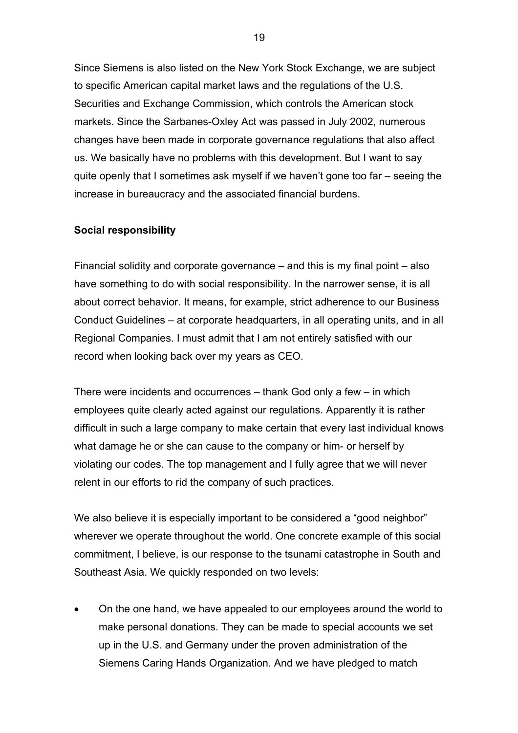Since Siemens is also listed on the New York Stock Exchange, we are subject to specific American capital market laws and the regulations of the U.S. Securities and Exchange Commission, which controls the American stock markets. Since the Sarbanes-Oxley Act was passed in July 2002, numerous changes have been made in corporate governance regulations that also affect us. We basically have no problems with this development. But I want to say quite openly that I sometimes ask myself if we haven't gone too far – seeing the increase in bureaucracy and the associated financial burdens.

#### **Social responsibility**

Financial solidity and corporate governance – and this is my final point – also have something to do with social responsibility. In the narrower sense, it is all about correct behavior. It means, for example, strict adherence to our Business Conduct Guidelines – at corporate headquarters, in all operating units, and in all Regional Companies. I must admit that I am not entirely satisfied with our record when looking back over my years as CEO.

There were incidents and occurrences – thank God only a few – in which employees quite clearly acted against our regulations. Apparently it is rather difficult in such a large company to make certain that every last individual knows what damage he or she can cause to the company or him- or herself by violating our codes. The top management and I fully agree that we will never relent in our efforts to rid the company of such practices.

We also believe it is especially important to be considered a "good neighbor" wherever we operate throughout the world. One concrete example of this social commitment, I believe, is our response to the tsunami catastrophe in South and Southeast Asia. We quickly responded on two levels:

• On the one hand, we have appealed to our employees around the world to make personal donations. They can be made to special accounts we set up in the U.S. and Germany under the proven administration of the Siemens Caring Hands Organization. And we have pledged to match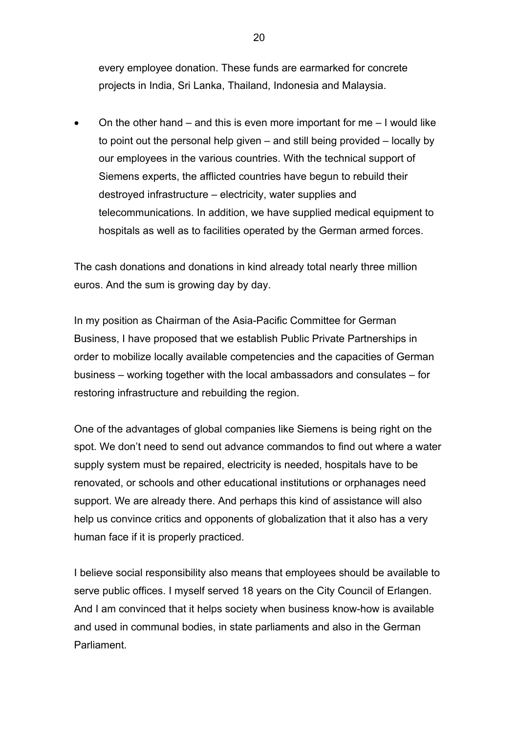every employee donation. These funds are earmarked for concrete projects in India, Sri Lanka, Thailand, Indonesia and Malaysia.

• On the other hand – and this is even more important for me – I would like to point out the personal help given – and still being provided – locally by our employees in the various countries. With the technical support of Siemens experts, the afflicted countries have begun to rebuild their destroyed infrastructure – electricity, water supplies and telecommunications. In addition, we have supplied medical equipment to hospitals as well as to facilities operated by the German armed forces.

The cash donations and donations in kind already total nearly three million euros. And the sum is growing day by day.

In my position as Chairman of the Asia-Pacific Committee for German Business, I have proposed that we establish Public Private Partnerships in order to mobilize locally available competencies and the capacities of German business – working together with the local ambassadors and consulates – for restoring infrastructure and rebuilding the region.

One of the advantages of global companies like Siemens is being right on the spot. We don't need to send out advance commandos to find out where a water supply system must be repaired, electricity is needed, hospitals have to be renovated, or schools and other educational institutions or orphanages need support. We are already there. And perhaps this kind of assistance will also help us convince critics and opponents of globalization that it also has a very human face if it is properly practiced.

I believe social responsibility also means that employees should be available to serve public offices. I myself served 18 years on the City Council of Erlangen. And I am convinced that it helps society when business know-how is available and used in communal bodies, in state parliaments and also in the German **Parliament**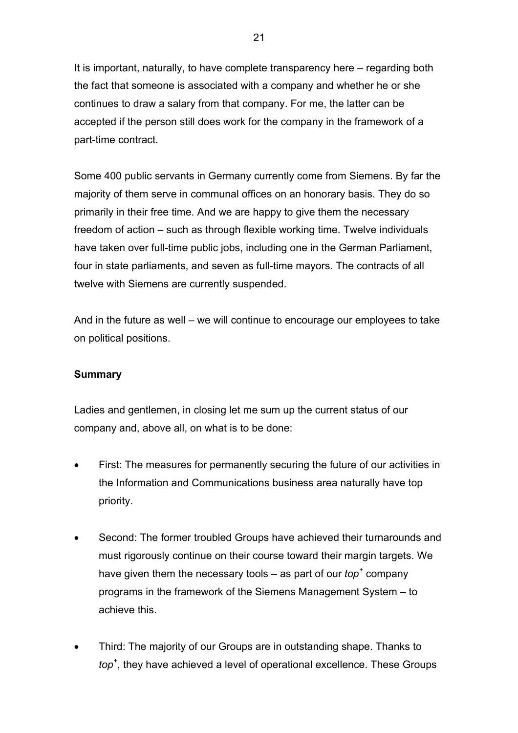It is important, naturally, to have complete transparency here – regarding both the fact that someone is associated with a company and whether he or she continues to draw a salary from that company. For me, the latter can be accepted if the person still does work for the company in the framework of a part-time contract.

Some 400 public servants in Germany currently come from Siemens. By far the majority of them serve in communal offices on an honorary basis. They do so primarily in their free time. And we are happy to give them the necessary freedom of action – such as through flexible working time. Twelve individuals have taken over full-time public jobs, including one in the German Parliament, four in state parliaments, and seven as full-time mayors. The contracts of all twelve with Siemens are currently suspended.

And in the future as well – we will continue to encourage our employees to take on political positions.

#### **Summary**

Ladies and gentlemen, in closing let me sum up the current status of our company and, above all, on what is to be done:

- First: The measures for permanently securing the future of our activities in the Information and Communications business area naturally have top priority.
- Second: The former troubled Groups have achieved their turnarounds and must rigorously continue on their course toward their margin targets. We have given them the necessary tools – as part of our *top*<sup>+</sup> company programs in the framework of the Siemens Management System – to achieve this.
- Third: The majority of our Groups are in outstanding shape. Thanks to *top+* , they have achieved a level of operational excellence. These Groups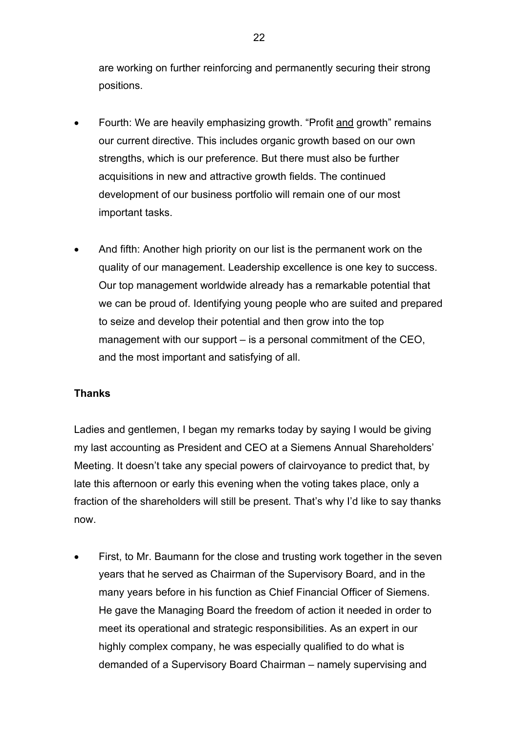are working on further reinforcing and permanently securing their strong positions.

- Fourth: We are heavily emphasizing growth. "Profit and growth" remains our current directive. This includes organic growth based on our own strengths, which is our preference. But there must also be further acquisitions in new and attractive growth fields. The continued development of our business portfolio will remain one of our most important tasks.
- And fifth: Another high priority on our list is the permanent work on the quality of our management. Leadership excellence is one key to success. Our top management worldwide already has a remarkable potential that we can be proud of. Identifying young people who are suited and prepared to seize and develop their potential and then grow into the top management with our support – is a personal commitment of the CEO, and the most important and satisfying of all.

## **Thanks**

Ladies and gentlemen, I began my remarks today by saying I would be giving my last accounting as President and CEO at a Siemens Annual Shareholders' Meeting. It doesn't take any special powers of clairvoyance to predict that, by late this afternoon or early this evening when the voting takes place, only a fraction of the shareholders will still be present. That's why I'd like to say thanks now.

First, to Mr. Baumann for the close and trusting work together in the seven years that he served as Chairman of the Supervisory Board, and in the many years before in his function as Chief Financial Officer of Siemens. He gave the Managing Board the freedom of action it needed in order to meet its operational and strategic responsibilities. As an expert in our highly complex company, he was especially qualified to do what is demanded of a Supervisory Board Chairman – namely supervising and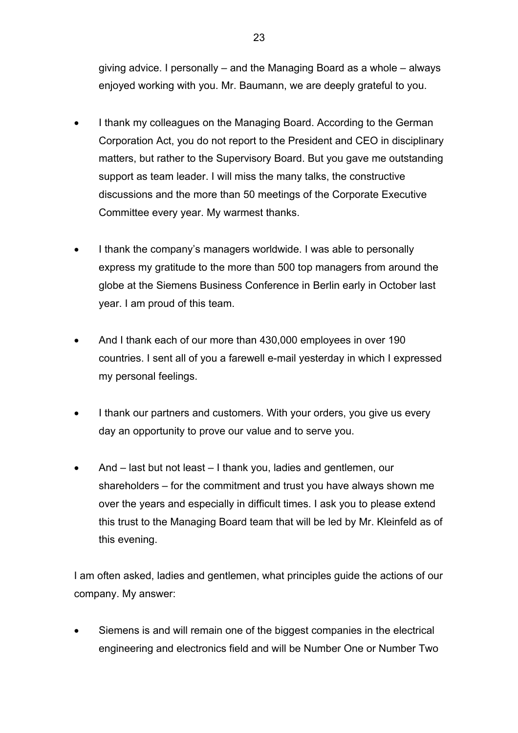giving advice. I personally – and the Managing Board as a whole – always enjoyed working with you. Mr. Baumann, we are deeply grateful to you.

- I thank my colleagues on the Managing Board. According to the German Corporation Act, you do not report to the President and CEO in disciplinary matters, but rather to the Supervisory Board. But you gave me outstanding support as team leader. I will miss the many talks, the constructive discussions and the more than 50 meetings of the Corporate Executive Committee every year. My warmest thanks.
- I thank the company's managers worldwide. I was able to personally express my gratitude to the more than 500 top managers from around the globe at the Siemens Business Conference in Berlin early in October last year. I am proud of this team.
- And I thank each of our more than 430,000 employees in over 190 countries. I sent all of you a farewell e-mail yesterday in which I expressed my personal feelings.
- I thank our partners and customers. With your orders, you give us every day an opportunity to prove our value and to serve you.
- And last but not least I thank you, ladies and gentlemen, our shareholders – for the commitment and trust you have always shown me over the years and especially in difficult times. I ask you to please extend this trust to the Managing Board team that will be led by Mr. Kleinfeld as of this evening.

I am often asked, ladies and gentlemen, what principles guide the actions of our company. My answer:

• Siemens is and will remain one of the biggest companies in the electrical engineering and electronics field and will be Number One or Number Two